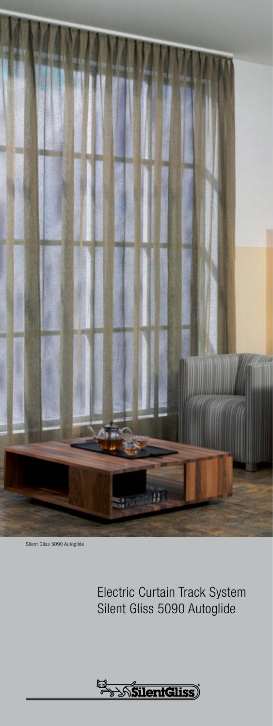

Silent Gliss 5090 Autoglide

Electric Curtain Track System Silent Gliss 5090 Autoglide

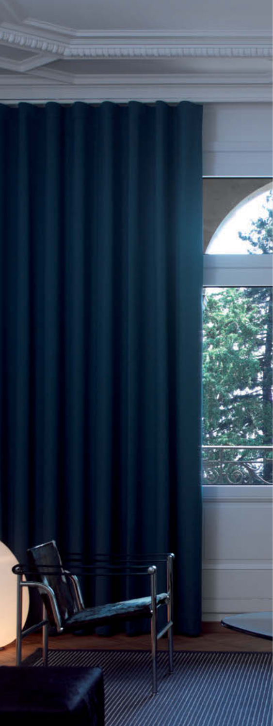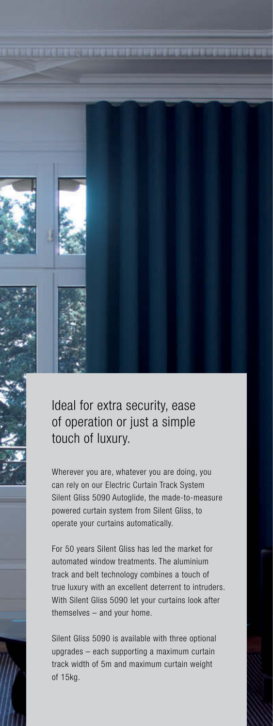

## Ideal for extra security, ease of operation or just a simple touch of luxury.

Wherever you are, whatever you are doing, you can rely on our Electric Curtain Track System Silent Gliss 5090 Autoglide, the made-to-measure powered curtain system from Silent Gliss, to operate your curtains automatically.

For 50 years Silent Gliss has led the market for automated window treatments. The aluminium track and belt technology combines a touch of true luxury with an excellent deterrent to intruders. With Silent Gliss 5090 let your curtains look after themselves – and your home.

Silent Gliss 5090 is available with three optional upgrades – each supporting a maximum curtain track width of 5m and maximum curtain weight of 15kg.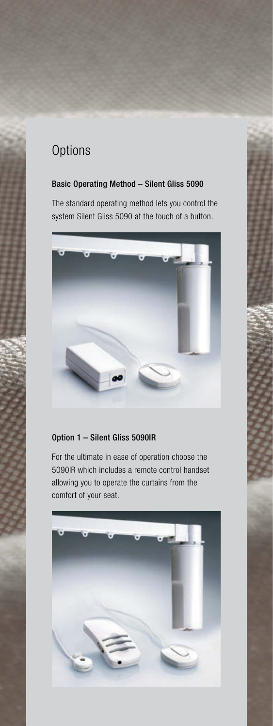# **Options**

#### Basic Operating Method – Silent Gliss 5090

The standard operating method lets you control the system Silent Gliss 5090 at the touch of a button.



## Option 1 – Silent Gliss 5090IR

For the ultimate in ease of operation choose the 5090IR which includes a remote control handset allowing you to operate the curtains from the comfort of your seat.

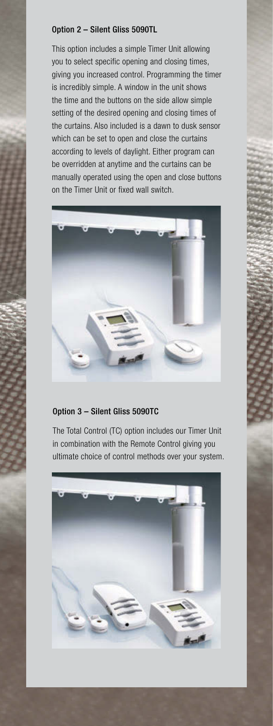#### Option 2 – Silent Gliss 5090TL

This option includes a simple Timer Unit allowing you to select specific opening and closing times, giving you increased control. Programming the timer is incredibly simple. A window in the unit shows the time and the buttons on the side allow simple setting of the desired opening and closing times of the curtains. Also included is a dawn to dusk sensor which can be set to open and close the curtains according to levels of daylight. Either program can be overridden at anytime and the curtains can be manually operated using the open and close buttons on the Timer Unit or fixed wall switch.



#### Option 3 – Silent Gliss 5090TC

The Total Control (TC) option includes our Timer Unit in combination with the Remote Control giving you ultimate choice of control methods over your system.

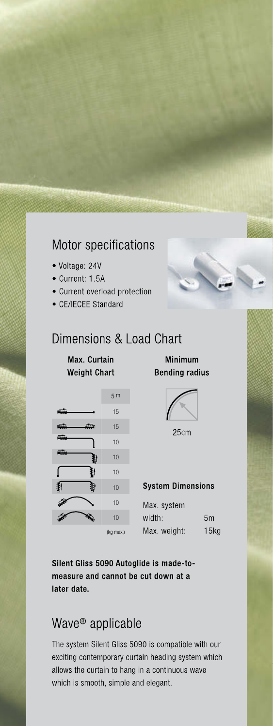## Motor specifications

- · Voltage: 24V
- Current: 1.5A
- Current overload protection
- CE/IECEE Standard

# Dimensions & Load Chart

Max. Curtain **Weight Chart** 

|              | 5 <sub>m</sub> |
|--------------|----------------|
| <b>EBOOR</b> | 15             |
| <b>HHHH</b>  | 15             |
| <b>HHOM</b>  | 10             |
| 4AAA<br>劃    | 10             |
| 割            | 10             |
| ≸∣           | 10             |
| (go          | 10             |
|              | 10             |
|              | (kg max.)      |

### Minimum **Bending radius**



 $25cm$ 

#### **System Dimensions**

| Max. system  |      |
|--------------|------|
| width:       | 5m   |
| Max. weight: | 15kg |

Silent Gliss 5090 Autoglide is made-tomeasure and cannot be cut down at a later date.

### Wave<sup>®</sup> applicable

The system Silent Gliss 5090 is compatible with our exciting contemporary curtain heading system which allows the curtain to hang in a continuous wave which is smooth, simple and elegant.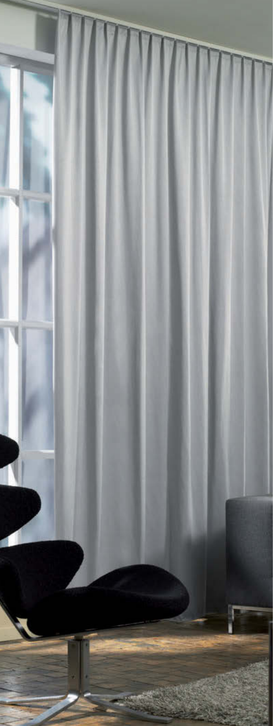